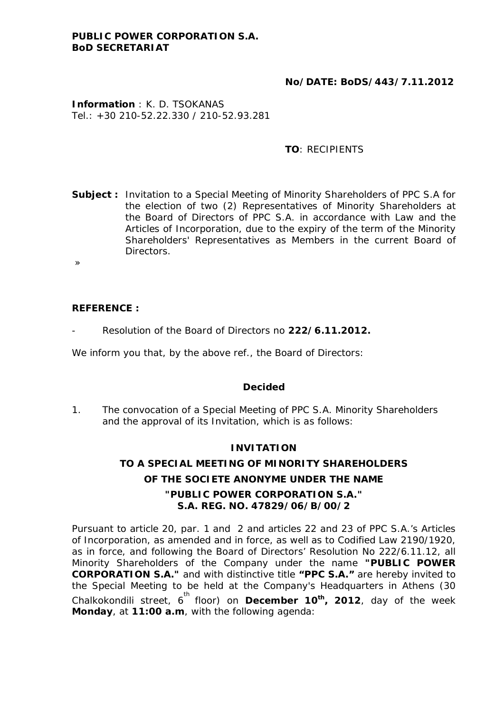## **No/DATE: BoDS/443/7.11.2012**

**Information** : K. D. TSOKANAS Tel.: +30 210-52.22.330 / 210-52.93.281

### **TO**: RECIPIENTS

- **Subject :** Invitation to a Special Meeting of Minority Shareholders of PPC S.A for the election of two (2) Representatives of Minority Shareholders at the Board of Directors of PPC S.A. in accordance with Law and the Articles of Incorporation, due to the expiry of the term of the Minority Shareholders' Representatives as Members in the current Board of Directors.
- »

**REFERENCE :** 

- Resolution of the Board of Directors no **222/6.11.2012.** 

We inform you that, by the above ref., the Board of Directors:

#### **Decided**

1. The convocation of a Special Meeting of PPC S.A. Minority Shareholders and the approval of its Invitation, which is as follows:

#### **INVITATION**

# **TO A SPECIAL MEETING OF MINORITY SHAREHOLDERS OF THE SOCIETE ANONYME UNDER THE NAME "PUBLIC POWER CORPORATION S.A." S.A. REG. NO. 47829/06/B/00/2**

Pursuant to article 20, par. 1 and 2 and articles 22 and 23 of PPC S.A.'s Articles of Incorporation, as amended and in force, as well as to Codified Law 2190/1920, as in force, and following the Board of Directors' Resolution No 222/6.11.12, all Minority Shareholders of the Company under the name **"PUBLIC POWER CORPORATION S.A."** and with distinctive title **"PPC S.A."** are hereby invited to the Special Meeting to be held at the Company's Headquarters in Athens (30 Chalkokondili street, 6<sup>th</sup> floor) on December 10<sup>th</sup>, 2012, day of the week **Monday**, at **11:00 a.m**, with the following agenda: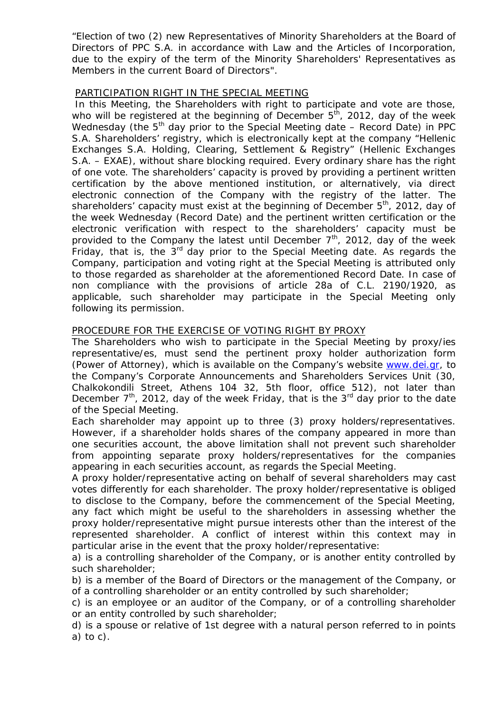"Election of two (2) new Representatives of Minority Shareholders at the Board of Directors of PPC S.A. in accordance with Law and the Articles of Incorporation, due to the expiry of the term of the Minority Shareholders' Representatives as Members in the current Board of Directors".

#### PARTICIPATION RIGHT IN THE SPECIAL MEETING

 In this Meeting, the Shareholders with right to participate and vote are those, who will be registered at the beginning of December  $5<sup>th</sup>$ , 2012, day of the week Wednesday (the  $5<sup>th</sup>$  day prior to the Special Meeting date – Record Date) in PPC S.A. Shareholders' registry, which is electronically kept at the company "Hellenic Exchanges S.A. Holding, Clearing, Settlement & Registry" (Hellenic Exchanges S.A. – EXAE), without share blocking required. Every ordinary share has the right of one vote. The shareholders' capacity is proved by providing a pertinent written certification by the above mentioned institution, or alternatively, via direct electronic connection of the Company with the registry of the latter. The shareholders' capacity must exist at the beginning of December  $5<sup>th</sup>$ , 2012, day of the week Wednesday (Record Date) and the pertinent written certification or the electronic verification with respect to the shareholders' capacity must be provided to the Company the latest until December  $7<sup>th</sup>$ , 2012, day of the week Friday, that is, the  $3<sup>rd</sup>$  day prior to the Special Meeting date. As regards the Company, participation and voting right at the Special Meeting is attributed only to those regarded as shareholder at the aforementioned Record Date. In case of non compliance with the provisions of article 28a of C.L. 2190/1920, as applicable, such shareholder may participate in the Special Meeting only following its permission.

## PROCEDURE FOR THE EXERCISE OF VOTING RIGHT BY PROXY

The Shareholders who wish to participate in the Special Meeting by proxy/ies representative/es, must send the pertinent proxy holder authorization form (Power of Attorney), which is available on the Company's website [www.dei.gr,](http://www.dei.gr/) to the Company's Corporate Announcements and Shareholders Services Unit (30, Chalkokondili Street, Athens 104 32, 5th floor, office 512), not later than December  $7<sup>th</sup>$ , 2012, day of the week Friday, that is the  $3<sup>rd</sup>$  day prior to the date of the Special Meeting.

Each shareholder may appoint up to three (3) proxy holders/representatives. However, if a shareholder holds shares of the company appeared in more than one securities account, the above limitation shall not prevent such shareholder from appointing separate proxy holders/representatives for the companies appearing in each securities account, as regards the Special Meeting.

A proxy holder/representative acting on behalf of several shareholders may cast votes differently for each shareholder. The proxy holder/representative is obliged to disclose to the Company, before the commencement of the Special Meeting, any fact which might be useful to the shareholders in assessing whether the proxy holder/representative might pursue interests other than the interest of the represented shareholder. A conflict of interest within this context may in particular arise in the event that the proxy holder/representative:

a) is a controlling shareholder of the Company, or is another entity controlled by such shareholder;

b) is a member of the Board of Directors or the management of the Company, or of a controlling shareholder or an entity controlled by such shareholder;

c) is an employee or an auditor of the Company, or of a controlling shareholder or an entity controlled by such shareholder;

d) is a spouse or relative of 1st degree with a natural person referred to in points a) to c).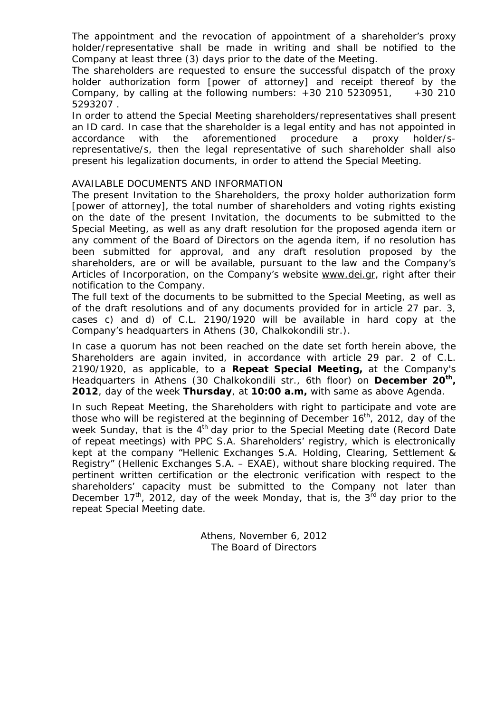The appointment and the revocation of appointment of a shareholder's proxy holder/representative shall be made in writing and shall be notified to the Company at least three (3) days prior to the date of the Meeting.

The shareholders are requested to ensure the successful dispatch of the proxy holder authorization form [power of attorney] and receipt thereof by the Company, by calling at the following numbers:  $+30, 210, 5230951, +30, 210$ 5293207 .

In order to attend the Special Meeting shareholders/representatives shall present an ID card. In case that the shareholder is a legal entity and has not appointed in accordance with the aforementioned procedure a proxy holder/srepresentative/s, then the legal representative of such shareholder shall also present his legalization documents, in order to attend the Special Meeting.

#### AVAILABLE DOCUMENTS AND INFORMATION

The present Invitation to the Shareholders, the proxy holder authorization form [power of attorney], the total number of shareholders and voting rights existing on the date of the present Invitation, the documents to be submitted to the Special Meeting, as well as any draft resolution for the proposed agenda item or any comment of the Board of Directors on the agenda item, if no resolution has been submitted for approval, and any draft resolution proposed by the shareholders, are or will be available, pursuant to the law and the Company's Articles of Incorporation, on the Company's website www.dei.gr, right after their notification to the Company.

The full text of the documents to be submitted to the Special Meeting, as well as of the draft resolutions and of any documents provided for in article 27 par. 3, cases c) and d) of C.L. 2190/1920 will be available in hard copy at the Company's headquarters in Athens (30, Chalkokondili str.).

In case a quorum has not been reached on the date set forth herein above, the Shareholders are again invited, in accordance with article 29 par. 2 of C.L. 2190/1920, as applicable, to a **Repeat Special Meeting,** at the Company's Headquarters in Athens (30 Chalkokondili str., 6th floor) on **December 20th , 2012**, day of the week **Thursday**, at **10:00 a.m,** with same as above Agenda.

In such Repeat Meeting, the Shareholders with right to participate and vote are those who will be registered at the beginning of December  $16<sup>th</sup>$ , 2012, day of the week Sunday, that is the  $4<sup>th</sup>$  day prior to the Special Meeting date (Record Date of repeat meetings) with PPC S.A. Shareholders' registry, which is electronically kept at the company "Hellenic Exchanges S.A. Holding, Clearing, Settlement & Registry" (Hellenic Exchanges S.A. – EXAE), without share blocking required. The pertinent written certification or the electronic verification with respect to the shareholders' capacity must be submitted to the Company not later than December  $17<sup>th</sup>$ , 2012, day of the week Monday, that is, the  $3<sup>rd</sup>$  day prior to the repeat Special Meeting date.

> Athens, November 6, 2012 The Board of Directors